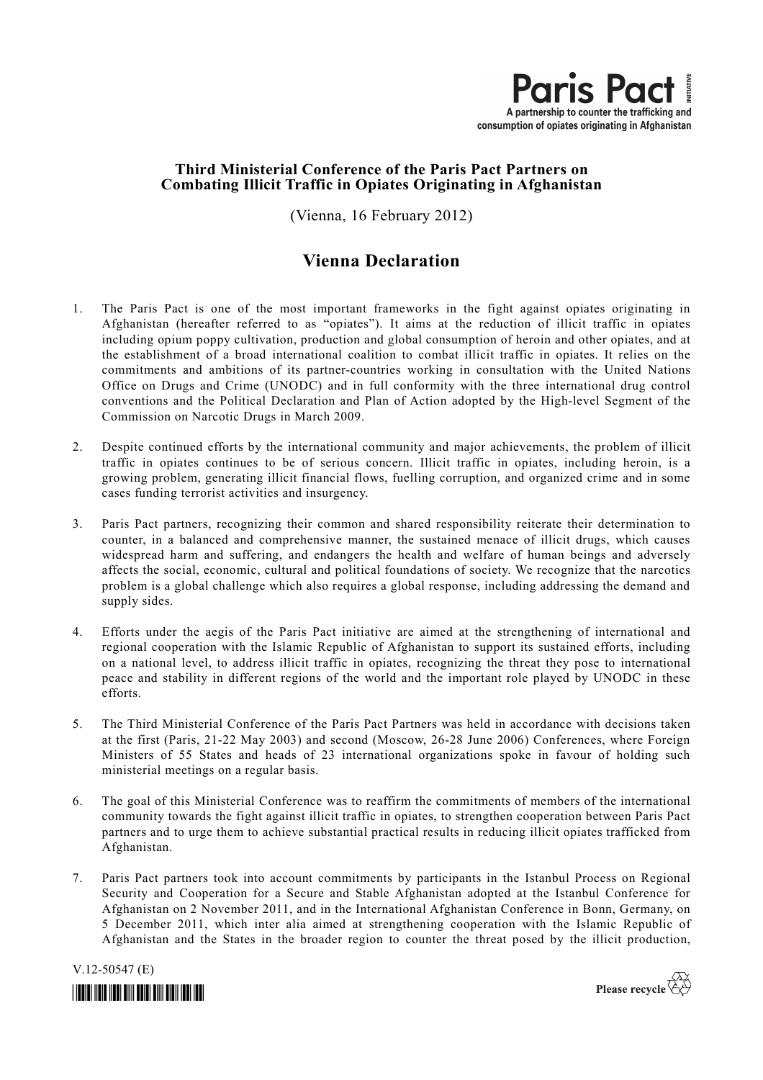

# **Third Ministerial Conference of the Paris Pact Partners on Combating Illicit Traffic in Opiates Originating in Afghanistan**

(Vienna, 16 February 2012)

# **Vienna Declaration**

- 1. The Paris Pact is one of the most important frameworks in the fight against opiates originating in Afghanistan (hereafter referred to as "opiates"). It aims at the reduction of illicit traffic in opiates including opium poppy cultivation, production and global consumption of heroin and other opiates, and at the establishment of a broad international coalition to combat illicit traffic in opiates. It relies on the commitments and ambitions of its partner-countries working in consultation with the United Nations Office on Drugs and Crime (UNODC) and in full conformity with the three international drug control conventions and the Political Declaration and Plan of Action adopted by the High-level Segment of the Commission on Narcotic Drugs in March 2009.
- 2. Despite continued efforts by the international community and major achievements, the problem of illicit traffic in opiates continues to be of serious concern. Illicit traffic in opiates, including heroin, is a growing problem, generating illicit financial flows, fuelling corruption, and organized crime and in some cases funding terrorist activities and insurgency.
- 3. Paris Pact partners, recognizing their common and shared responsibility reiterate their determination to counter, in a balanced and comprehensive manner, the sustained menace of illicit drugs, which causes widespread harm and suffering, and endangers the health and welfare of human beings and adversely affects the social, economic, cultural and political foundations of society. We recognize that the narcotics problem is a global challenge which also requires a global response, including addressing the demand and supply sides.
- 4. Efforts under the aegis of the Paris Pact initiative are aimed at the strengthening of international and regional cooperation with the Islamic Republic of Afghanistan to support its sustained efforts, including on a national level, to address illicit traffic in opiates, recognizing the threat they pose to international peace and stability in different regions of the world and the important role played by UNODC in these efforts.
- 5. The Third Ministerial Conference of the Paris Pact Partners was held in accordance with decisions taken at the first (Paris, 21-22 May 2003) and second (Moscow, 26-28 June 2006) Conferences, where Foreign Ministers of 55 States and heads of 23 international organizations spoke in favour of holding such ministerial meetings on a regular basis.
- 6. The goal of this Ministerial Conference was to reaffirm the commitments of members of the international community towards the fight against illicit traffic in opiates, to strengthen cooperation between Paris Pact partners and to urge them to achieve substantial practical results in reducing illicit opiates trafficked from Afghanistan.
- 7. Paris Pact partners took into account commitments by participants in the Istanbul Process on Regional Security and Cooperation for a Secure and Stable Afghanistan adopted at the Istanbul Conference for Afghanistan on 2 November 2011, and in the International Afghanistan Conference in Bonn, Germany, on 5 December 2011, which inter alia aimed at strengthening cooperation with the Islamic Republic of Afghanistan and the States in the broader region to counter the threat posed by the illicit production,

V.12-50547 (E)



Please recycle  $\overleftrightarrow{C}$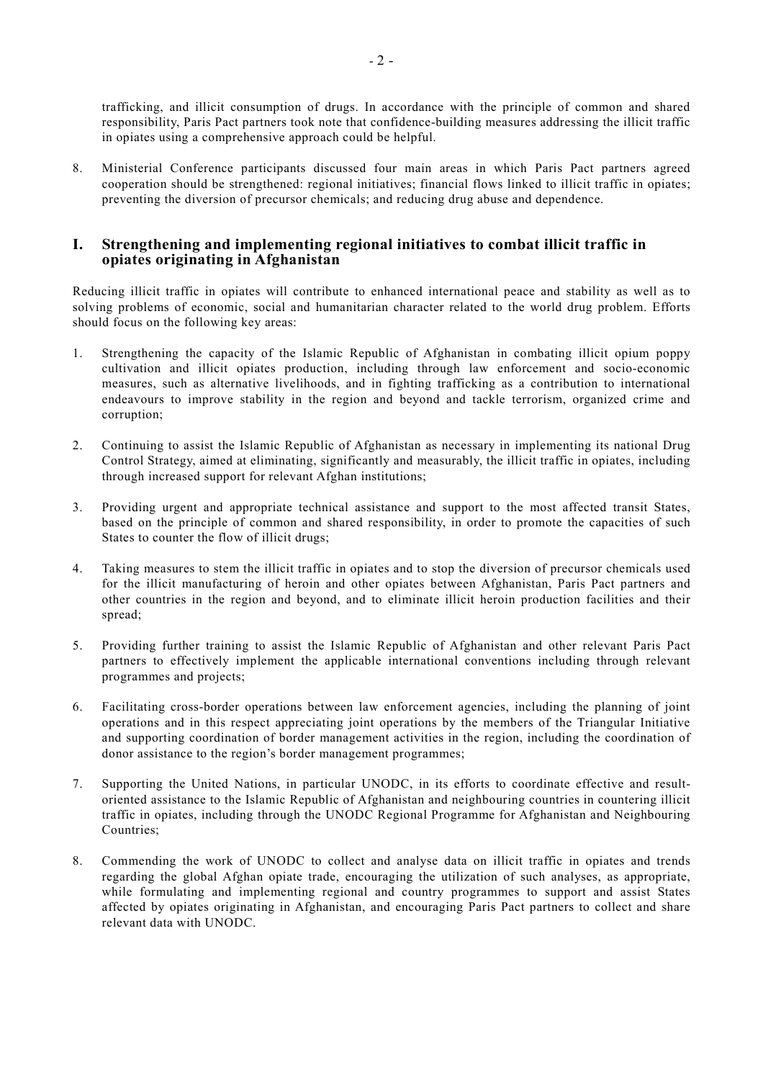trafficking, and illicit consumption of drugs. In accordance with the principle of common and shared responsibility, Paris Pact partners took note that confidence-building measures addressing the illicit traffic in opiates using a comprehensive approach could be helpful.

8. Ministerial Conference participants discussed four main areas in which Paris Pact partners agreed cooperation should be strengthened: regional initiatives; financial flows linked to illicit traffic in opiates; preventing the diversion of precursor chemicals; and reducing drug abuse and dependence.

#### **I. Strengthening and implementing regional initiatives to combat illicit traffic in opiates originating in Afghanistan**

Reducing illicit traffic in opiates will contribute to enhanced international peace and stability as well as to solving problems of economic, social and humanitarian character related to the world drug problem. Efforts should focus on the following key areas:

- 1. Strengthening the capacity of the Islamic Republic of Afghanistan in combating illicit opium poppy cultivation and illicit opiates production, including through law enforcement and socio-economic measures, such as alternative livelihoods, and in fighting trafficking as a contribution to international endeavours to improve stability in the region and beyond and tackle terrorism, organized crime and corruption;
- 2. Continuing to assist the Islamic Republic of Afghanistan as necessary in implementing its national Drug Control Strategy, aimed at eliminating, significantly and measurably, the illicit traffic in opiates, including through increased support for relevant Afghan institutions;
- 3. Providing urgent and appropriate technical assistance and support to the most affected transit States, based on the principle of common and shared responsibility, in order to promote the capacities of such States to counter the flow of illicit drugs;
- 4. Taking measures to stem the illicit traffic in opiates and to stop the diversion of precursor chemicals used for the illicit manufacturing of heroin and other opiates between Afghanistan, Paris Pact partners and other countries in the region and beyond, and to eliminate illicit heroin production facilities and their spread;
- 5. Providing further training to assist the Islamic Republic of Afghanistan and other relevant Paris Pact partners to effectively implement the applicable international conventions including through relevant programmes and projects;
- 6. Facilitating cross-border operations between law enforcement agencies, including the planning of joint operations and in this respect appreciating joint operations by the members of the Triangular Initiative and supporting coordination of border management activities in the region, including the coordination of donor assistance to the region's border management programmes;
- 7. Supporting the United Nations, in particular UNODC, in its efforts to coordinate effective and resultoriented assistance to the Islamic Republic of Afghanistan and neighbouring countries in countering illicit traffic in opiates, including through the UNODC Regional Programme for Afghanistan and Neighbouring Countries;
- 8. Commending the work of UNODC to collect and analyse data on illicit traffic in opiates and trends regarding the global Afghan opiate trade, encouraging the utilization of such analyses, as appropriate, while formulating and implementing regional and country programmes to support and assist States affected by opiates originating in Afghanistan, and encouraging Paris Pact partners to collect and share relevant data with UNODC.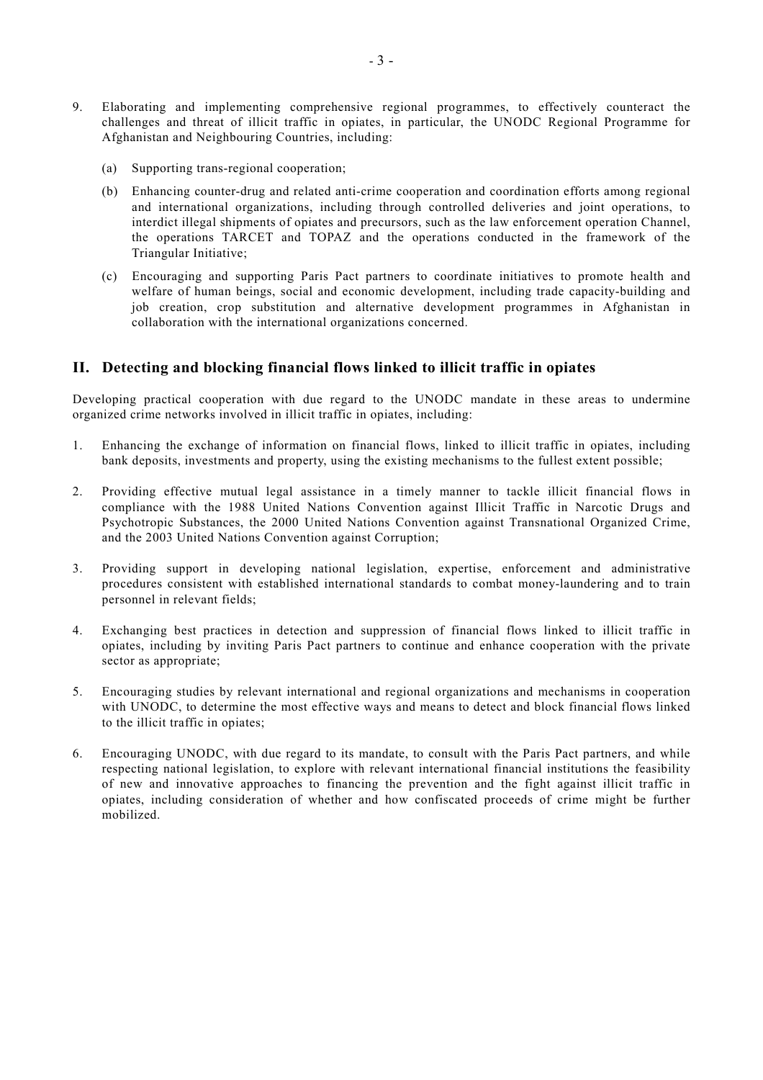- 9. Elaborating and implementing comprehensive regional programmes, to effectively counteract the challenges and threat of illicit traffic in opiates, in particular, the UNODC Regional Programme for Afghanistan and Neighbouring Countries, including:
	- (a) Supporting trans-regional cooperation;
	- (b) Enhancing counter-drug and related anti-crime cooperation and coordination efforts among regional and international organizations, including through controlled deliveries and joint operations, to interdict illegal shipments of opiates and precursors, such as the law enforcement operation Channel, the operations TARCET and TOPAZ and the operations conducted in the framework of the Triangular Initiative;
	- (c) Encouraging and supporting Paris Pact partners to coordinate initiatives to promote health and welfare of human beings, social and economic development, including trade capacity-building and job creation, crop substitution and alternative development programmes in Afghanistan in collaboration with the international organizations concerned.

#### **II. Detecting and blocking financial flows linked to illicit traffic in opiates**

Developing practical cooperation with due regard to the UNODC mandate in these areas to undermine organized crime networks involved in illicit traffic in opiates, including:

- 1. Enhancing the exchange of information on financial flows, linked to illicit traffic in opiates, including bank deposits, investments and property, using the existing mechanisms to the fullest extent possible;
- 2. Providing effective mutual legal assistance in a timely manner to tackle illicit financial flows in compliance with the 1988 United Nations Convention against Illicit Traffic in Narcotic Drugs and Psychotropic Substances, the 2000 United Nations Convention against Transnational Organized Crime, and the 2003 United Nations Convention against Corruption;
- 3. Providing support in developing national legislation, expertise, enforcement and administrative procedures consistent with established international standards to combat money-laundering and to train personnel in relevant fields;
- 4. Exchanging best practices in detection and suppression of financial flows linked to illicit traffic in opiates, including by inviting Paris Pact partners to continue and enhance cooperation with the private sector as appropriate;
- 5. Encouraging studies by relevant international and regional organizations and mechanisms in cooperation with UNODC, to determine the most effective ways and means to detect and block financial flows linked to the illicit traffic in opiates;
- 6. Encouraging UNODC, with due regard to its mandate, to consult with the Paris Pact partners, and while respecting national legislation, to explore with relevant international financial institutions the feasibility of new and innovative approaches to financing the prevention and the fight against illicit traffic in opiates, including consideration of whether and how confiscated proceeds of crime might be further mobilized.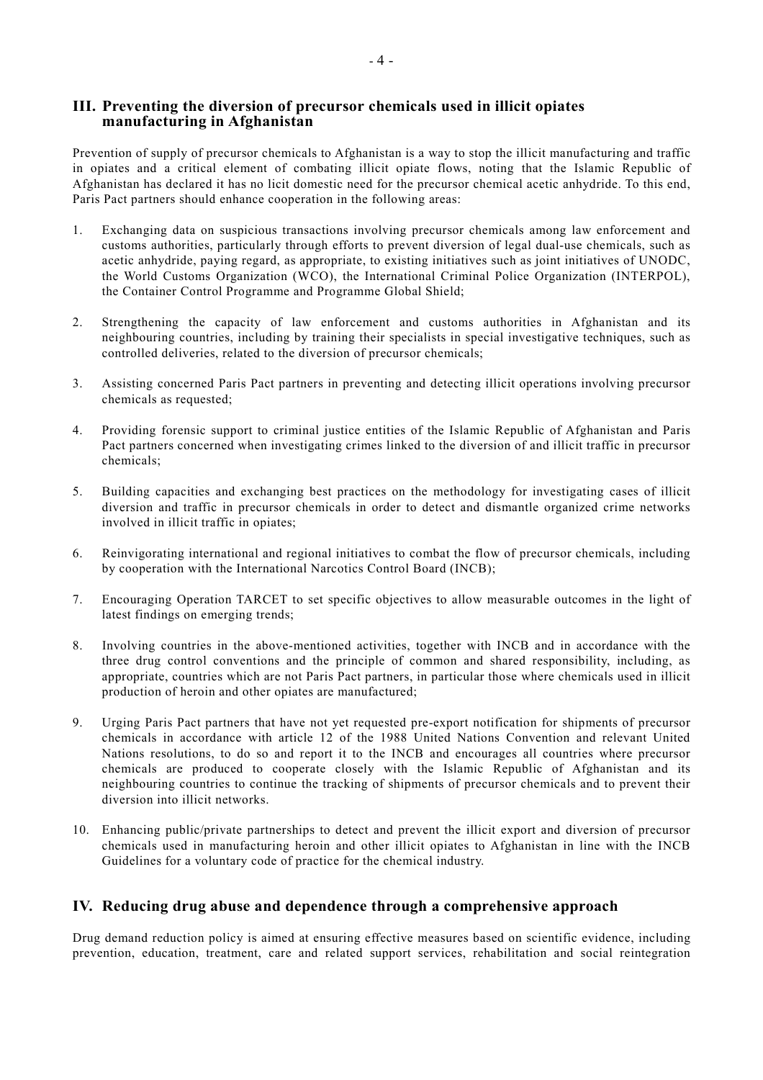## **III. Preventing the diversion of precursor chemicals used in illicit opiates manufacturing in Afghanistan**

Prevention of supply of precursor chemicals to Afghanistan is a way to stop the illicit manufacturing and traffic in opiates and a critical element of combating illicit opiate flows, noting that the Islamic Republic of Afghanistan has declared it has no licit domestic need for the precursor chemical acetic anhydride. To this end, Paris Pact partners should enhance cooperation in the following areas:

- 1. Exchanging data on suspicious transactions involving precursor chemicals among law enforcement and customs authorities, particularly through efforts to prevent diversion of legal dual-use chemicals, such as acetic anhydride, paying regard, as appropriate, to existing initiatives such as joint initiatives of UNODC, the World Customs Organization (WCO), the International Criminal Police Organization (INTERPOL), the Container Control Programme and Programme Global Shield;
- 2. Strengthening the capacity of law enforcement and customs authorities in Afghanistan and its neighbouring countries, including by training their specialists in special investigative techniques, such as controlled deliveries, related to the diversion of precursor chemicals;
- 3. Assisting concerned Paris Pact partners in preventing and detecting illicit operations involving precursor chemicals as requested;
- 4. Providing forensic support to criminal justice entities of the Islamic Republic of Afghanistan and Paris Pact partners concerned when investigating crimes linked to the diversion of and illicit traffic in precursor chemicals;
- 5. Building capacities and exchanging best practices on the methodology for investigating cases of illicit diversion and traffic in precursor chemicals in order to detect and dismantle organized crime networks involved in illicit traffic in opiates;
- 6. Reinvigorating international and regional initiatives to combat the flow of precursor chemicals, including by cooperation with the International Narcotics Control Board (INCB);
- 7. Encouraging Operation TARCET to set specific objectives to allow measurable outcomes in the light of latest findings on emerging trends;
- 8. Involving countries in the above-mentioned activities, together with INCB and in accordance with the three drug control conventions and the principle of common and shared responsibility, including, as appropriate, countries which are not Paris Pact partners, in particular those where chemicals used in illicit production of heroin and other opiates are manufactured;
- 9. Urging Paris Pact partners that have not yet requested pre-export notification for shipments of precursor chemicals in accordance with article 12 of the 1988 United Nations Convention and relevant United Nations resolutions, to do so and report it to the INCB and encourages all countries where precursor chemicals are produced to cooperate closely with the Islamic Republic of Afghanistan and its neighbouring countries to continue the tracking of shipments of precursor chemicals and to prevent their diversion into illicit networks.
- 10. Enhancing public/private partnerships to detect and prevent the illicit export and diversion of precursor chemicals used in manufacturing heroin and other illicit opiates to Afghanistan in line with the INCB Guidelines for a voluntary code of practice for the chemical industry.

# **IV. Reducing drug abuse and dependence through a comprehensive approach**

Drug demand reduction policy is aimed at ensuring effective measures based on scientific evidence, including prevention, education, treatment, care and related support services, rehabilitation and social reintegration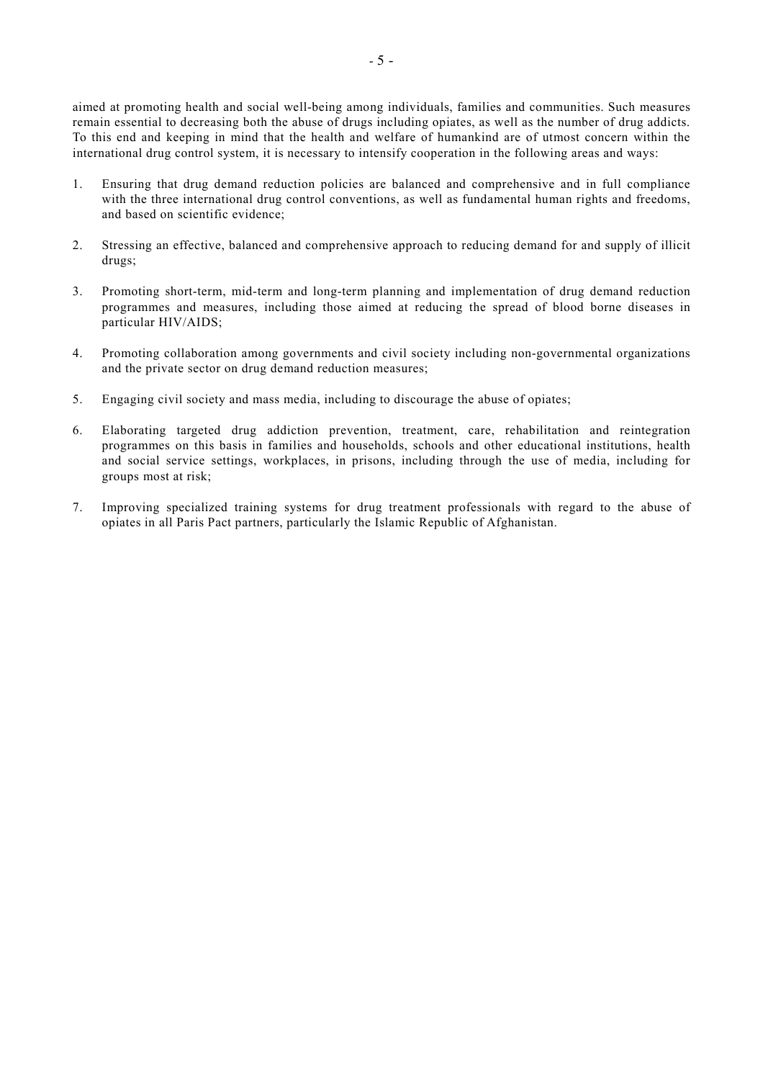aimed at promoting health and social well-being among individuals, families and communities. Such measures remain essential to decreasing both the abuse of drugs including opiates, as well as the number of drug addicts. To this end and keeping in mind that the health and welfare of humankind are of utmost concern within the international drug control system, it is necessary to intensify cooperation in the following areas and ways:

- 1. Ensuring that drug demand reduction policies are balanced and comprehensive and in full compliance with the three international drug control conventions, as well as fundamental human rights and freedoms, and based on scientific evidence;
- 2. Stressing an effective, balanced and comprehensive approach to reducing demand for and supply of illicit drugs;
- 3. Promoting short-term, mid-term and long-term planning and implementation of drug demand reduction programmes and measures, including those aimed at reducing the spread of blood borne diseases in particular HIV/AIDS;
- 4. Promoting collaboration among governments and civil society including non-governmental organizations and the private sector on drug demand reduction measures;
- 5. Engaging civil society and mass media, including to discourage the abuse of opiates;
- 6. Elaborating targeted drug addiction prevention, treatment, care, rehabilitation and reintegration programmes on this basis in families and households, schools and other educational institutions, health and social service settings, workplaces, in prisons, including through the use of media, including for groups most at risk;
- 7. Improving specialized training systems for drug treatment professionals with regard to the abuse of opiates in all Paris Pact partners, particularly the Islamic Republic of Afghanistan.